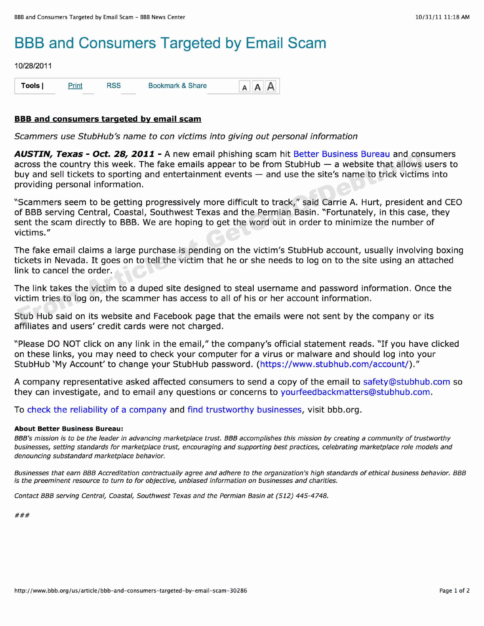## BBB and Consumers Targeted by Email Scam

## 10/28/2011

| Tools | <u>Print</u> | <b>RSS</b> | Bookmark & Share | $A$ $A$ $A$ |
|-------|--------------|------------|------------------|-------------|
|-------|--------------|------------|------------------|-------------|

## **BBB and consumers targeted by email scam**

*Scammers use StubHub's name to con victims into giving out personal information*

*AUSTIN, Texas - Oct.* **28, 2011 -** A new email phishing scam hit Better Business Bureau and consumers across the country this week. The fake emails appear to be from StubHub — a website that allows users to buy and sell tickets to sporting and entertainment events — and use the site's name to trick victims into providing personal information.

"Scammers seem to be getting progressively more difficult to track," said Carrie A. Hurt, president and CEO of BBB serving Central, Coastal, Southwest Texas and the Permian Basin. "Fortunately, in this case, they sent the scam directly to BBB. We are hoping to get the word out in order to minimize the number of victims." **EVALUAT CONTITIPY CONTITY AND SYTT AN ART CONTIFY AND SYTTAL CONTIFY AND CONTIFY AND CONTIFY AND CONTIFY SURVER CONTIFY SURVER CONTIFY AND CONTIFY SURVERT AND CONTIFY AND NOT SURVERT AND NOT SURVERT SURVERT AND NOT SURVER** 

The fake email claims a large purchase is pending on the victim's StubHub account, usually involving boxing tickets in Nevada. It goes on to tell the victim that he or she needs to log on to the site using an attached link to cancel the order.

The link takes the victim to a duped site designed to steal username and password information. Once the victim tries to log on, the scammer has access to all of his or her account information.

Stub Hub said on its website and Facebook page that the emails were not sent by the company or its affiliates and users' credit cards were not charged.

"Please DO NOT click on any link in the email," the company's official statement reads. "If you have clicked on these links, you may need to check your computer for a virus or malware and should log into your StubHub 'My Account' to change your StubHub password. (https://www.stubhub.com/account/)."

A company representative asked affected consumers to send a copy of the email to safety@stubhub.com so they can investigate, and to email any questions or concerns to yourfeedbackmatters@stubhub.com.

To check the reliability of a company and find trustworthy businesses, visit bbb.org.

## **About Better Business Bureau:**

*BBB's mission is to be the leader in advancing marketplace trust. BBB accomplishes this mission by creating a community of trustworthy businesses, setting standards for marketplace trust, encouraging and supporting best practices, celebrating marketplace role models and denouncing substandard marketplace behavior.*

*Businesses that earn BBB Accreditation contractually agree and adhere to the organization's high standards of ethical business behavior. BBB is the preeminent resource to turn to for objective, unbiasedinformation on businesses and charities.*

Contact BBB serving Central, Coastal, Southwest Texas and the Permian Basin at (512) 445-4748.

 $###$